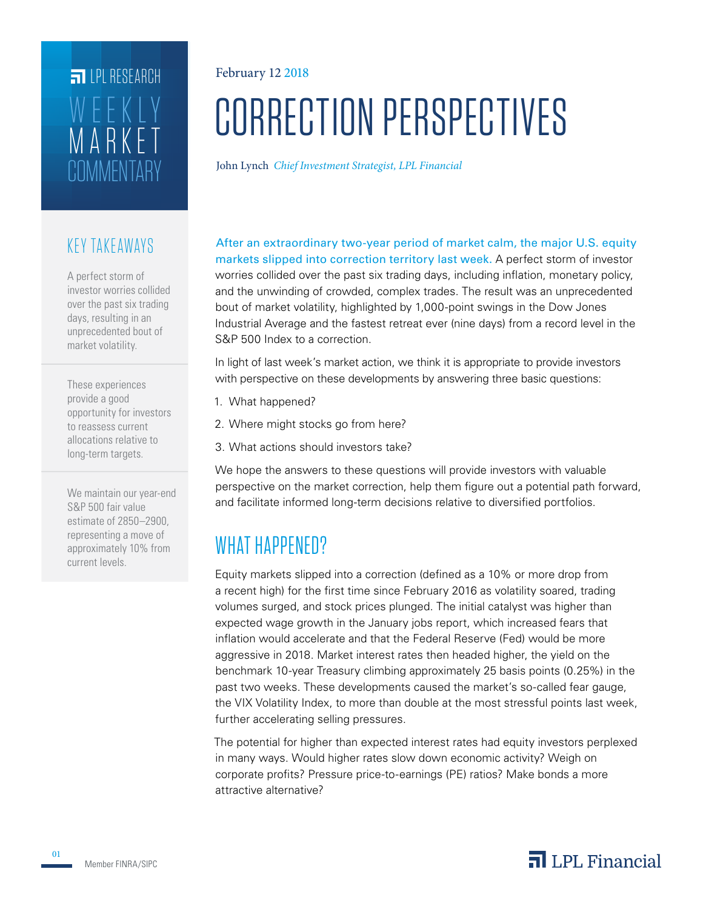## **COMMENTARY** MARKET WEEKLY **FILPI RESEARCH**

#### KEY TAKEAWAYS

A perfect storm of investor worries collided over the past six trading days, resulting in an unprecedented bout of market volatility.

These experiences provide a good opportunity for investors to reassess current allocations relative to long-term targets.

We maintain our year-end S&P 500 fair value estimate of 2850–2900, representing a move of approximately 10% from current levels.

#### February 12 2018

# CORRECTION PERSPECTIVES

John Lynch *Chief Investment Strategist, LPL Financial*

After an extraordinary two-year period of market calm, the major U.S. equity markets slipped into correction territory last week. A perfect storm of investor worries collided over the past six trading days, including inflation, monetary policy, and the unwinding of crowded, complex trades. The result was an unprecedented bout of market volatility, highlighted by 1,000-point swings in the Dow Jones Industrial Average and the fastest retreat ever (nine days) from a record level in the S&P 500 Index to a correction.

In light of last week's market action, we think it is appropriate to provide investors with perspective on these developments by answering three basic questions:

- 1. What happened?
- 2. Where might stocks go from here?
- 3. What actions should investors take?

We hope the answers to these questions will provide investors with valuable perspective on the market correction, help them figure out a potential path forward, and facilitate informed long-term decisions relative to diversified portfolios.

## WHAT HAPPENED?

Equity markets slipped into a correction (defined as a 10% or more drop from a recent high) for the first time since February 2016 as volatility soared, trading volumes surged, and stock prices plunged. The initial catalyst was higher than expected wage growth in the January jobs report, which increased fears that inflation would accelerate and that the Federal Reserve (Fed) would be more aggressive in 2018. Market interest rates then headed higher, the yield on the benchmark 10-year Treasury climbing approximately 25 basis points (0.25%) in the past two weeks. These developments caused the market's so-called fear gauge, the VIX Volatility Index, to more than double at the most stressful points last week, further accelerating selling pressures.

The potential for higher than expected interest rates had equity investors perplexed in many ways. Would higher rates slow down economic activity? Weigh on corporate profits? Pressure price-to-earnings (PE) ratios? Make bonds a more attractive alternative?

01

### $\overline{\mathbf{a}}$  LPL Financial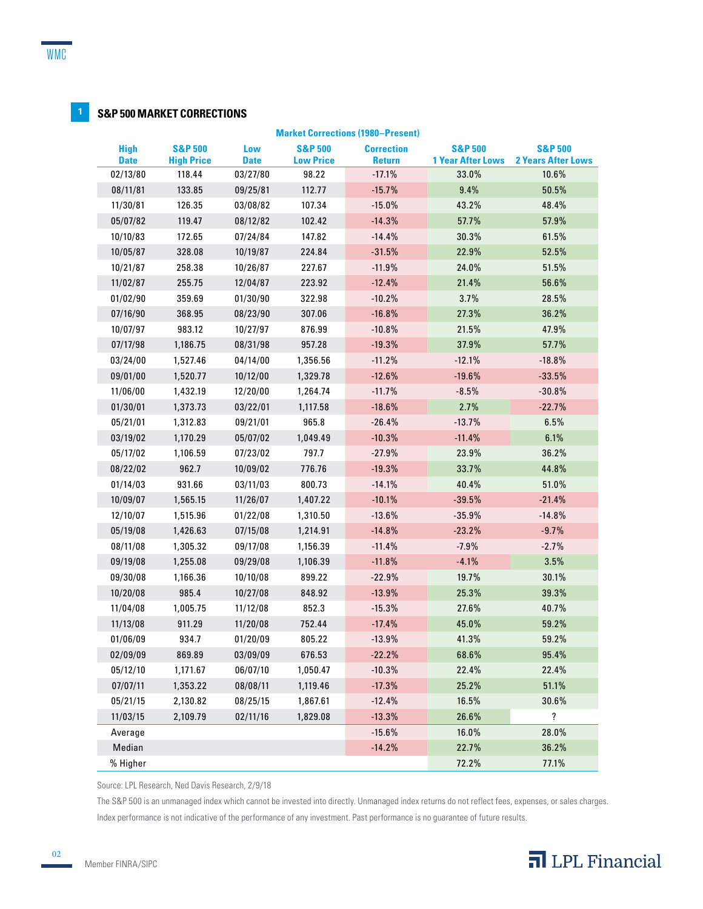#### **1 S&P 500 MARKET CORRECTIONS**

| <b>Market Corrections (1980–Present)</b> |                                         |                    |                                        |                                    |                                                |                                                 |
|------------------------------------------|-----------------------------------------|--------------------|----------------------------------------|------------------------------------|------------------------------------------------|-------------------------------------------------|
| <b>High</b><br><b>Date</b>               | <b>S&amp;P 500</b><br><b>High Price</b> | Low<br><b>Date</b> | <b>S&amp;P 500</b><br><b>Low Price</b> | <b>Correction</b><br><b>Return</b> | <b>S&amp;P 500</b><br><b>1 Year After Lows</b> | <b>S&amp;P 500</b><br><b>2 Years After Lows</b> |
| 02/13/80                                 | 118.44                                  | 03/27/80           | 98.22                                  | $-17.1%$                           | 33.0%                                          | 10.6%                                           |
| 08/11/81                                 | 133.85                                  | 09/25/81           | 112.77                                 | $-15.7%$                           | 9.4%                                           | 50.5%                                           |
| 11/30/81                                 | 126.35                                  | 03/08/82           | 107.34                                 | $-15.0%$                           | 43.2%                                          | 48.4%                                           |
| 05/07/82                                 | 119.47                                  | 08/12/82           | 102.42                                 | $-14.3%$                           | 57.7%                                          | 57.9%                                           |
| 10/10/83                                 | 172.65                                  | 07/24/84           | 147.82                                 | $-14.4%$                           | 30.3%                                          | 61.5%                                           |
| 10/05/87                                 | 328.08                                  | 10/19/87           | 224.84                                 | $-31.5%$                           | 22.9%                                          | 52.5%                                           |
| 10/21/87                                 | 258.38                                  | 10/26/87           | 227.67                                 | $-11.9%$                           | 24.0%                                          | 51.5%                                           |
| 11/02/87                                 | 255.75                                  | 12/04/87           | 223.92                                 | $-12.4%$                           | 21.4%                                          | 56.6%                                           |
| 01/02/90                                 | 359.69                                  | 01/30/90           | 322.98                                 | $-10.2%$                           | 3.7%                                           | 28.5%                                           |
| 07/16/90                                 | 368.95                                  | 08/23/90           | 307.06                                 | $-16.8%$                           | 27.3%                                          | 36.2%                                           |
| 10/07/97                                 | 983.12                                  | 10/27/97           | 876.99                                 | $-10.8%$                           | 21.5%                                          | 47.9%                                           |
| 07/17/98                                 | 1,186.75                                | 08/31/98           | 957.28                                 | $-19.3%$                           | 37.9%                                          | 57.7%                                           |
| 03/24/00                                 | 1,527.46                                | 04/14/00           | 1,356.56                               | $-11.2%$                           | $-12.1%$                                       | $-18.8%$                                        |
| 09/01/00                                 | 1,520.77                                | 10/12/00           | 1,329.78                               | $-12.6%$                           | $-19.6%$                                       | $-33.5%$                                        |
| 11/06/00                                 | 1,432.19                                | 12/20/00           | 1,264.74                               | $-11.7%$                           | $-8.5%$                                        | $-30.8%$                                        |
| 01/30/01                                 | 1,373.73                                | 03/22/01           | 1,117.58                               | $-18.6%$                           | 2.7%                                           | $-22.7%$                                        |
| 05/21/01                                 | 1,312.83                                | 09/21/01           | 965.8                                  | $-26.4%$                           | $-13.7%$                                       | 6.5%                                            |
| 03/19/02                                 | 1,170.29                                | 05/07/02           | 1,049.49                               | $-10.3%$                           | $-11.4%$                                       | 6.1%                                            |
| 05/17/02                                 | 1,106.59                                | 07/23/02           | 797.7                                  | $-27.9%$                           | 23.9%                                          | 36.2%                                           |
| 08/22/02                                 | 962.7                                   | 10/09/02           | 776.76                                 | $-19.3%$                           | 33.7%                                          | 44.8%                                           |
| 01/14/03                                 | 931.66                                  | 03/11/03           | 800.73                                 | $-14.1%$                           | 40.4%                                          | 51.0%                                           |
| 10/09/07                                 | 1,565.15                                | 11/26/07           | 1,407.22                               | $-10.1%$                           | $-39.5%$                                       | $-21.4%$                                        |
| 12/10/07                                 | 1,515.96                                | 01/22/08           | 1,310.50                               | $-13.6%$                           | $-35.9%$                                       | $-14.8%$                                        |
| 05/19/08                                 | 1,426.63                                | 07/15/08           | 1,214.91                               | $-14.8%$                           | $-23.2%$                                       | $-9.7%$                                         |
| 08/11/08                                 | 1,305.32                                | 09/17/08           | 1,156.39                               | $-11.4%$                           | $-7.9%$                                        | $-2.7%$                                         |
| 09/19/08                                 | 1,255.08                                | 09/29/08           | 1,106.39                               | $-11.8%$                           | $-4.1%$                                        | 3.5%                                            |
| 09/30/08                                 | 1,166.36                                | 10/10/08           | 899.22                                 | $-22.9%$                           | 19.7%                                          | 30.1%                                           |
| 10/20/08                                 | 985.4                                   | 10/27/08           | 848.92                                 | $-13.9%$                           | 25.3%                                          | 39.3%                                           |
| 11/04/08                                 | 1,005.75                                | 11/12/08           | 852.3                                  | $-15.3%$                           | 27.6%                                          | 40.7%                                           |
| 11/13/08                                 | 911.29                                  | 11/20/08           | 752.44                                 | $-17.4%$                           | 45.0%                                          | 59.2%                                           |
| 01/06/09                                 | 934.7                                   | 01/20/09           | 805.22                                 | $-13.9%$                           | 41.3%                                          | 59.2%                                           |
| 02/09/09                                 | 869.89                                  | 03/09/09           | 676.53                                 | $-22.2%$                           | 68.6%                                          | 95.4%                                           |
| 05/12/10                                 | 1,171.67                                | 06/07/10           | 1,050.47                               | $-10.3%$                           | 22.4%                                          | 22.4%                                           |
| 07/07/11                                 | 1,353.22                                | 08/08/11           | 1,119.46                               | $-17.3%$                           | 25.2%                                          | 51.1%                                           |
| 05/21/15                                 | 2,130.82                                | 08/25/15           | 1,867.61                               | $-12.4%$                           | 16.5%                                          | 30.6%                                           |
| 11/03/15                                 | 2,109.79                                | 02/11/16           | 1,829.08                               | $-13.3%$                           | 26.6%                                          | ?                                               |
| Average                                  |                                         |                    |                                        | $-15.6%$                           | 16.0%                                          | 28.0%                                           |
| Median                                   |                                         |                    |                                        | $-14.2%$                           | 22.7%                                          | 36.2%                                           |
| % Higher                                 |                                         |                    |                                        |                                    | 72.2%                                          | 77.1%                                           |

Source: LPL Research, Ned Davis Research, 2/9/18

The S&P 500 is an unmanaged index which cannot be invested into directly. Unmanaged index returns do not reflect fees, expenses, or sales charges. Index performance is not indicative of the performance of any investment. Past performance is no guarantee of future results.



02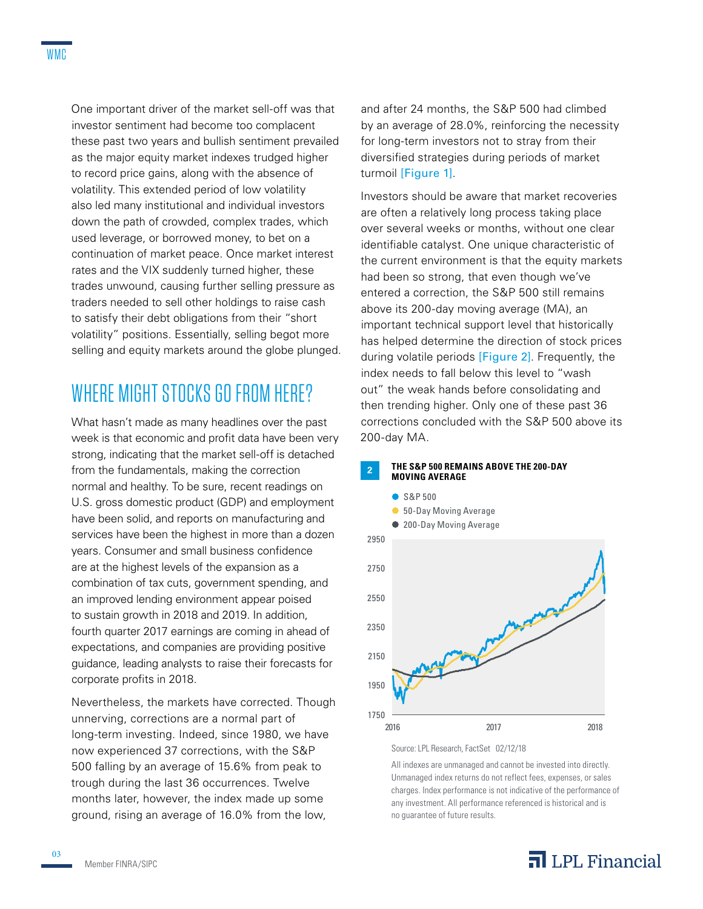One important driver of the market sell-off was that investor sentiment had become too complacent these past two years and bullish sentiment prevailed as the major equity market indexes trudged higher to record price gains, along with the absence of volatility. This extended period of low volatility also led many institutional and individual investors down the path of crowded, complex trades, which used leverage, or borrowed money, to bet on a continuation of market peace. Once market interest rates and the VIX suddenly turned higher, these trades unwound, causing further selling pressure as traders needed to sell other holdings to raise cash to satisfy their debt obligations from their "short volatility" positions. Essentially, selling begot more selling and equity markets around the globe plunged.

## WHERE MIGHT STOCKS GO FROM HERE?

What hasn't made as many headlines over the past week is that economic and profit data have been very strong, indicating that the market sell-off is detached from the fundamentals, making the correction normal and healthy. To be sure, recent readings on U.S. gross domestic product (GDP) and employment have been solid, and reports on manufacturing and services have been the highest in more than a dozen years. Consumer and small business confidence are at the highest levels of the expansion as a combination of tax cuts, government spending, and an improved lending environment appear poised to sustain growth in 2018 and 2019. In addition, fourth quarter 2017 earnings are coming in ahead of expectations, and companies are providing positive guidance, leading analysts to raise their forecasts for corporate profits in 2018.

Nevertheless, the markets have corrected. Though unnerving, corrections are a normal part of long-term investing. Indeed, since 1980, we have now experienced 37 corrections, with the S&P 500 falling by an average of 15.6% from peak to trough during the last 36 occurrences. Twelve months later, however, the index made up some ground, rising an average of 16.0% from the low,

and after 24 months, the S&P 500 had climbed by an average of 28.0%, reinforcing the necessity for long-term investors not to stray from their diversified strategies during periods of market turmoil [Figure 1].

Investors should be aware that market recoveries are often a relatively long process taking place over several weeks or months, without one clear identifiable catalyst. One unique characteristic of the current environment is that the equity markets had been so strong, that even though we've entered a correction, the S&P 500 still remains above its 200-day moving average (MA), an important technical support level that historically has helped determine the direction of stock prices during volatile periods [Figure 2]. Frequently, the index needs to fall below this level to "wash out" the weak hands before consolidating and then trending higher. Only one of these past 36 corrections concluded with the S&P 500 above its 200-day MA.



Source: LPL Research, FactSet 02/12/18

All indexes are unmanaged and cannot be invested into directly. Unmanaged index returns do not reflect fees, expenses, or sales charges. Index performance is not indicative of the performance of any investment. All performance referenced is historical and is no guarantee of future results.

### $\overline{\mathbf{a}}$  LPL Financial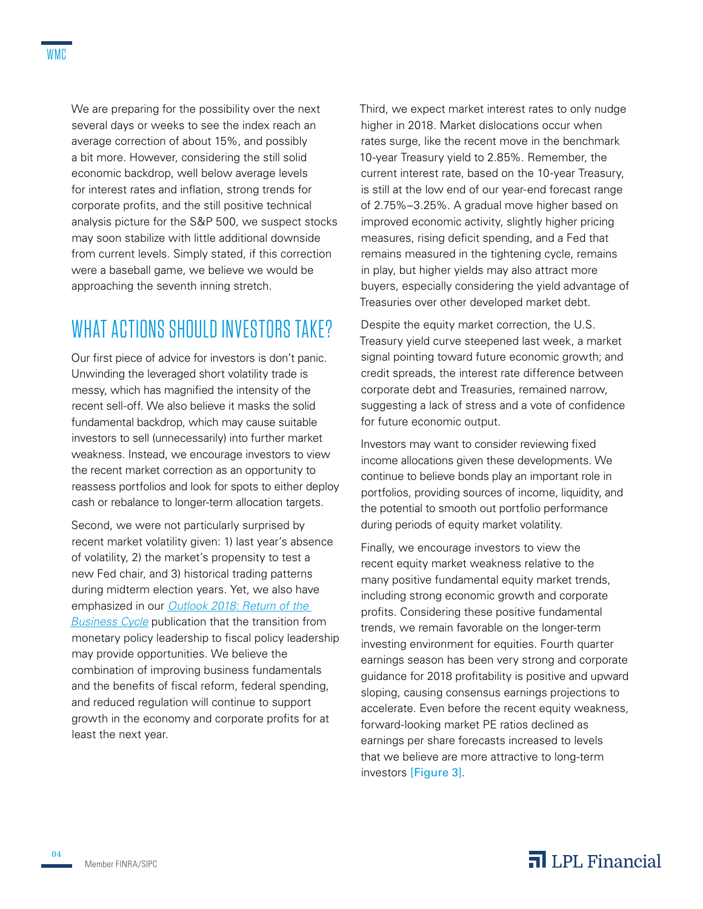We are preparing for the possibility over the next several days or weeks to see the index reach an average correction of about 15%, and possibly a bit more. However, considering the still solid economic backdrop, well below average levels for interest rates and inflation, strong trends for corporate profits, and the still positive technical analysis picture for the S&P 500, we suspect stocks may soon stabilize with little additional downside from current levels. Simply stated, if this correction were a baseball game, we believe we would be approaching the seventh inning stretch.

## WHAT ACTIONS SHOULD INVESTORS TAKE?

Our first piece of advice for investors is don't panic. Unwinding the leveraged short volatility trade is messy, which has magnified the intensity of the recent sell-off. We also believe it masks the solid fundamental backdrop, which may cause suitable investors to sell (unnecessarily) into further market weakness. Instead, we encourage investors to view the recent market correction as an opportunity to reassess portfolios and look for spots to either deploy cash or rebalance to longer-term allocation targets.

Second, we were not particularly surprised by recent market volatility given: 1) last year's absence of volatility, 2) the market's propensity to test a new Fed chair, and 3) historical trading patterns during midterm election years. Yet, we also have emphasized in our *[Outlook 2018: Return of the](http://lpl-research.com/outlook/2018/Outlook_2018_Spreads.pdf)  [Business Cycle](http://lpl-research.com/outlook/2018/Outlook_2018_Spreads.pdf)* publication that the transition from monetary policy leadership to fiscal policy leadership may provide opportunities. We believe the combination of improving business fundamentals and the benefits of fiscal reform, federal spending, and reduced regulation will continue to support growth in the economy and corporate profits for at least the next year.

Third, we expect market interest rates to only nudge higher in 2018. Market dislocations occur when rates surge, like the recent move in the benchmark 10-year Treasury yield to 2.85%. Remember, the current interest rate, based on the 10-year Treasury, is still at the low end of our year-end forecast range of 2.75%–3.25%. A gradual move higher based on improved economic activity, slightly higher pricing measures, rising deficit spending, and a Fed that remains measured in the tightening cycle, remains in play, but higher yields may also attract more buyers, especially considering the yield advantage of Treasuries over other developed market debt.

Despite the equity market correction, the U.S. Treasury yield curve steepened last week, a market signal pointing toward future economic growth; and credit spreads, the interest rate difference between corporate debt and Treasuries, remained narrow, suggesting a lack of stress and a vote of confidence for future economic output.

Investors may want to consider reviewing fixed income allocations given these developments. We continue to believe bonds play an important role in portfolios, providing sources of income, liquidity, and the potential to smooth out portfolio performance during periods of equity market volatility.

Finally, we encourage investors to view the recent equity market weakness relative to the many positive fundamental equity market trends, including strong economic growth and corporate profits. Considering these positive fundamental trends, we remain favorable on the longer-term investing environment for equities. Fourth quarter earnings season has been very strong and corporate guidance for 2018 profitability is positive and upward sloping, causing consensus earnings projections to accelerate. Even before the recent equity weakness, forward-looking market PE ratios declined as earnings per share forecasts increased to levels that we believe are more attractive to long-term investors [Figure 3].

04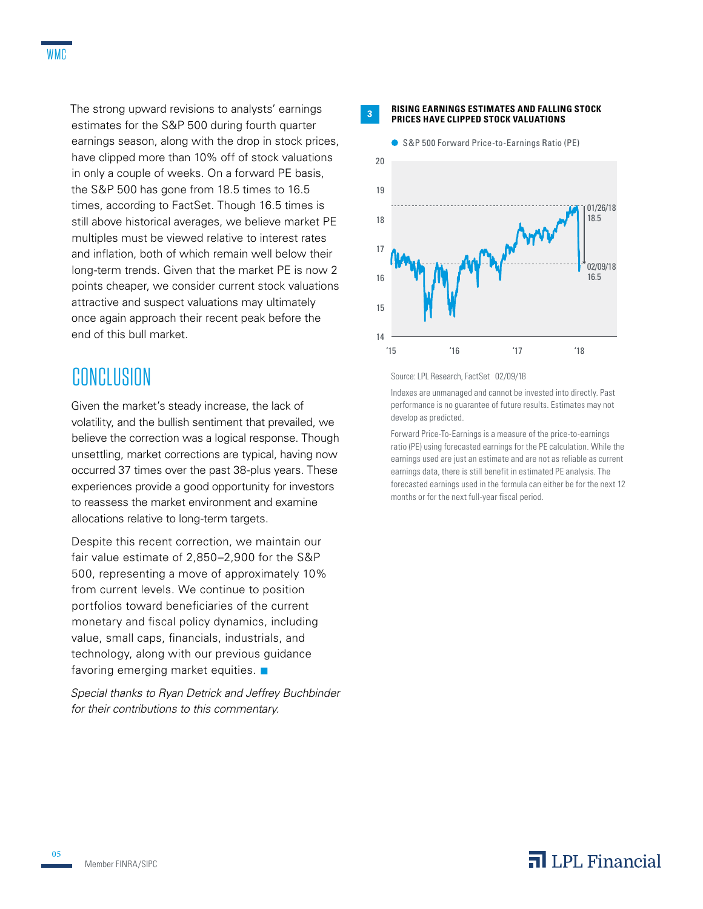The strong upward revisions to analysts' earnings estimates for the S&P 500 during fourth quarter earnings season, along with the drop in stock prices, have clipped more than 10% off of stock valuations in only a couple of weeks. On a forward PE basis, the S&P 500 has gone from 18.5 times to 16.5 times, according to FactSet. Though 16.5 times is still above historical averages, we believe market PE multiples must be viewed relative to interest rates and inflation, both of which remain well below their long-term trends. Given that the market PE is now 2 points cheaper, we consider current stock valuations attractive and suspect valuations may ultimately once again approach their recent peak before the end of this bull market.

## **CONCLUSION**

Given the market's steady increase, the lack of volatility, and the bullish sentiment that prevailed, we believe the correction was a logical response. Though unsettling, market corrections are typical, having now occurred 37 times over the past 38-plus years. These experiences provide a good opportunity for investors to reassess the market environment and examine allocations relative to long-term targets.

Despite this recent correction, we maintain our fair value estimate of 2,850–2,900 for the S&P 500, representing a move of approximately 10% from current levels. We continue to position portfolios toward beneficiaries of the current monetary and fiscal policy dynamics, including value, small caps, financials, industrials, and technology, along with our previous guidance favoring emerging market equities.  $\blacksquare$ 

*Special thanks to Ryan Detrick and Jeffrey Buchbinder for their contributions to this commentary.*

**<sup>3</sup> RISING EARNINGS ESTIMATES AND FALLING STOCK PRICES HAVE CLIPPED STOCK VALUATIONS**



Source: LPL Research, FactSet 02/09/18

Indexes are unmanaged and cannot be invested into directly. Past performance is no guarantee of future results. Estimates may not develop as predicted.

Forward Price-To-Earnings is a measure of the price-to-earnings ratio (PE) using forecasted earnings for the PE calculation. While the earnings used are just an estimate and are not as reliable as current earnings data, there is still benefit in estimated PE analysis. The forecasted earnings used in the formula can either be for the next 12 months or for the next full-year fiscal period.

05

### $\overline{\mathbf{a}}$  LPL Financial